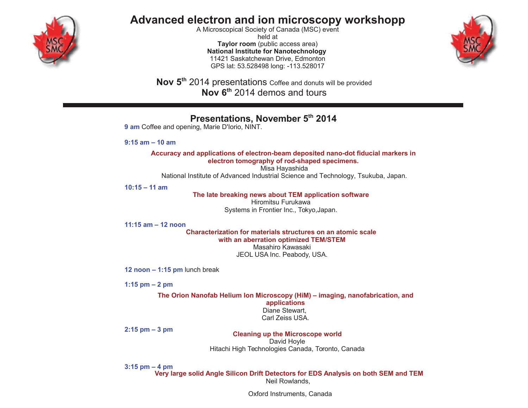

## Advanced electron and ion microscopy workshopp

A Microscopical Society of Canada (MSC) event held at Taylor room (public access area) **National Institute for Nanotechnology** 11421 Saskatchewan Drive, Edmonton GPS lat: 53.528498 long: -113.528017



Nov 5<sup>th</sup> 2014 presentations Coffee and donuts will be provided Nov 6<sup>th</sup> 2014 demos and tours

## Presentations, November 5th 2014

9 am Coffee and opening, Marie D'Iorio, NINT.

 $9:15$  am  $-10$  am

Accuracy and applications of electron-beam deposited nano-dot fiducial markers in electron tomography of rod-shaped specimens.

Misa Hayashida National Institute of Advanced Industrial Science and Technology, Tsukuba, Japan.

 $10:15 - 11$  am

The late breaking news about TEM application software

Hiromitsu Furukawa Systems in Frontier Inc., Tokyo, Japan.

11:15  $am - 12$  noon

Characterization for materials structures on an atomic scale with an aberration optimized TEM/STEM

Masahiro Kawasaki JEOL USA Inc. Peabody, USA.

12 noon  $-$  1:15 pm lunch break

1:15 pm  $-2$  pm

The Orion Nanofab Helium Ion Microscopy (HiM) – imaging, nanofabrication, and applications Diane Stewart. Carl Zeiss USA.

 $2:15$  pm  $-3$  pm

**Cleaning up the Microscope world** 

David Hoyle Hitachi High Technologies Canada, Toronto, Canada

 $3:15$  pm  $-4$  pm

Very large solid Angle Silicon Drift Detectors for EDS Analysis on both SEM and TEM Neil Rowlands.

Oxford Instruments, Canada